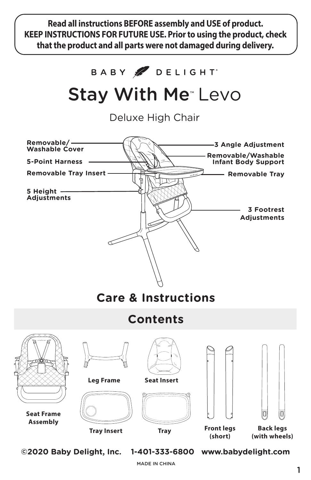**Read all instructions BEFORE assembly and USE of product. KEEP INSTRUCTIONS FOR FUTURE USE. Prior to using the product, check that the product and all parts were not damaged during delivery.**



MADE IN CHINA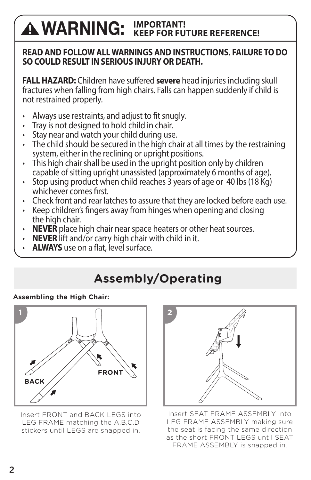#### **WARNING: IMPORTANT! KEEP FOR FUTURE REFERENCE!**

### **READ AND FOLLOW ALL WARNINGS AND INSTRUCTIONS. FAILURE TO DO SO COULD RESULT IN SERIOUS INJURY OR DEATH.**

**FALL HAZARD:** Children have suffered **severe** head injuries including skull fractures when falling from high chairs. Falls can happen suddenly if child is not restrained properly.

- Always use restraints, and adjust to fit snugly.
- Tray is not designed to hold child in chair.
- Stay near and watch your child during use.
- $\cdot$  The child should be secured in the high chair at all times by the restraining system, either in the reclining or upright positions.
- This high chair shall be used in the upright position only by children capable of sitting upright unassisted (approximately 6 months of age).
- $\cdot$  Stop using product when child reaches 3 years of age or 40 lbs (18 Kg) whichever comes first.
- Check front and rear latches to assure that they are locked before each use.
- Keep children's fingers away from hinges when opening and closing the high chair.
- **NEVER** place high chair near space heaters or other heat sources.
- **NEVER** lift and/or carry high chair with child in it.
- **ALWAYS** use on a flat, level surface.

# **Assembly/Operating**

### **Assembling the High Chair:**



Insert FRONT and BACK LEGS into LEG FRAME matching the A,B,C,D stickers until LEGS are snapped in.



Insert SEAT FRAME ASSEMBLY into LEG FRAME ASSEMBLY making sure the seat is facing the same direction as the short FRONT LEGS until SEAT FRAME ASSEMBLY is snapped in.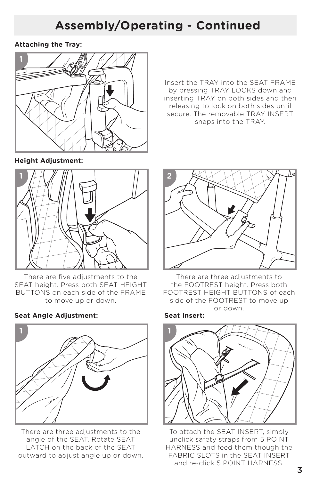## **Assembly/Operating - Continued**

**Attaching the Tray:**



Insert the TRAY into the SEAT FRAME by pressing TRAY LOCKS down and inserting TRAY on both sides and then releasing to lock on both sides until secure. The removable TRAY INSERT snaps into the TRAY.

**Height Adjustment:**



There are five adjustments to the SEAT height. Press both SEAT HEIGHT BUTTONS on each side of the FRAME to move up or down.

### **Seat Angle Adjustment: Seat Insert:**



There are three adjustments to the angle of the SEAT. Rotate SEAT LATCH on the back of the SEAT outward to adjust angle up or down.



There are three adjustments to the FOOTREST height. Press both FOOTREST HEIGHT BUTTONS of each side of the FOOTREST to move up or down.



To attach the SEAT INSERT, simply unclick safety straps from 5 POINT HARNESS and feed them though the FABRIC SLOTS in the SEAT INSERT and re-click 5 POINT HARNESS.